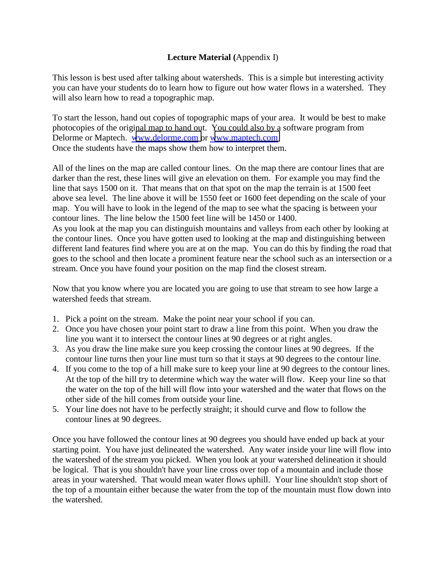## **Lecture Material (**Appendix I)

This lesson is best used after talking about watersheds. This is a simple but interesting activity you can have your students do to learn how to figure out how water flows in a watershed. They will also learn how to read a topographic map.

To start the lesson, hand out copies of topographic maps of your area. It would be best to make photocopies of the original map to hand out. You could also by a software program from Delorme or Maptech. [www.delorme.com o](http://www.delorme.com/)r [www.maptech.com](http://www.maptech.com/)  Once the students have the maps show them how to interpret them.

All of the lines on the map are called contour lines. On the map there are contour lines that are darker than the rest, these lines will give an elevation on them. For example you may find the line that says 1500 on it. That means that on that spot on the map the terrain is at 1500 feet above sea level. The line above it will be 1550 feet or 1600 feet depending on the scale of your map. You will have to look in the legend of the map to see what the spacing is between your contour lines. The line below the 1500 feet line will be 1450 or 1400.

As you look at the map you can distinguish mountains and valleys from each other by looking at the contour lines. Once you have gotten used to looking at the map and distinguishing between different land features find where you are at on the map. You can do this by finding the road that goes to the school and then locate a prominent feature near the school such as an intersection or a stream. Once you have found your position on the map find the closest stream.

Now that you know where you are located you are going to use that stream to see how large a watershed feeds that stream.

- 1. Pick a point on the stream. Make the point near your school if you can.
- 2. Once you have chosen your point start to draw a line from this point. When you draw the line you want it to intersect the contour lines at 90 degrees or at right angles.
- 3. As you draw the line make sure you keep crossing the contour lines at 90 degrees. If the contour line turns then your line must turn so that it stays at 90 degrees to the contour line.
- 4. If you come to the top of a hill make sure to keep your line at 90 degrees to the contour lines. At the top of the hill try to determine which way the water will flow. Keep your line so that the water on the top of the hill will flow into your watershed and the water that flows on the other side of the hill comes from outside your line.
- 5. Your line does not have to be perfectly straight; it should curve and flow to follow the contour lines at 90 degrees.

Once you have followed the contour lines at 90 degrees you should have ended up back at your starting point. You have just delineated the watershed. Any water inside your line will flow into the watershed of the stream you picked. When you look at your watershed delineation it should be logical. That is you shouldn't have your line cross over top of a mountain and include those areas in your watershed. That would mean water flows uphill. Your line shouldn't stop short of the top of a mountain either because the water from the top of the mountain must flow down into the watershed.